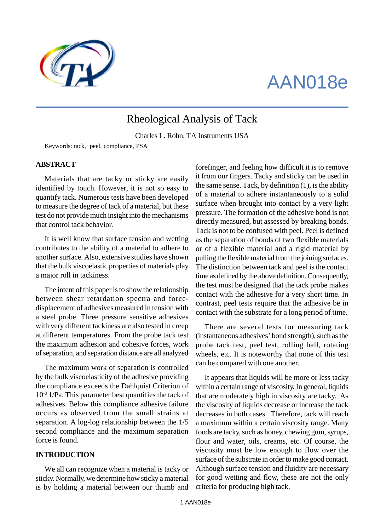

# AAN018e

# Rheological Analysis of Tack

Charles L. Rohn, TA Instruments USA

Keywords: tack, peel, compliance, PSA

#### **ABSTRACT**

Materials that are tacky or sticky are easily identified by touch. However, it is not so easy to quantify tack. Numerous tests have been developed to measure the degree of tack of a material, but these test do not provide much insight into the mechanisms that control tack behavior.

It is well know that surface tension and wetting contributes to the ability of a material to adhere to another surface. Also, extensive studies have shown that the bulk viscoelastic properties of materials play a major roll in tackiness.

The intent of this paper is to show the relationship between shear retardation spectra and forcedisplacement of adhesives measured in tension with a steel probe. Three pressure sensitive adhesives with very different tackiness are also tested in creep at different temperatures. From the probe tack test the maximum adhesion and cohesive forces, work of separation, and separation distance are all analyzed

The maximum work of separation is controlled by the bulk viscoelasticity of the adhesive providing the compliance exceeds the Dahlquist Criterion of 10-8 1/Pa. This parameter best quantifies the tack of adhesives. Below this compliance adhesive failure occurs as observed from the small strains at separation. A log-log relationship between the 1/5 second compliance and the maximum separation force is found.

#### **INTRODUCTION**

We all can recognize when a material is tacky or sticky. Normally, we determine how sticky a material is by holding a material between our thumb and forefinger, and feeling how difficult it is to remove it from our fingers. Tacky and sticky can be used in the same sense. Tack, by definition (1), is the ability of a material to adhere instantaneously to a solid surface when brought into contact by a very light pressure. The formation of the adhesive bond is not directly measured, but assessed by breaking bonds. Tack is not to be confused with peel. Peel is defined as the separation of bonds of two flexible materials or of a flexible material and a rigid material by pulling the flexible material from the joining surfaces. The distinction between tack and peel is the contact time as defined by the above definition. Consequently, the test must be designed that the tack probe makes contact with the adhesive for a very short time. In contrast, peel tests require that the adhesive be in contact with the substrate for a long period of time.

There are several tests for measuring tack (instantaneous adhesives' bond strength), such as the probe tack test, peel test, rolling ball, rotating wheels, etc. It is noteworthy that none of this test can be compared with one another.

It appears that liquids will be more or less tacky within a certain range of viscosity. In general, liquids that are moderately high in viscosity are tacky. As the viscosity of liquids decrease or increase the tack decreases in both cases. Therefore, tack will reach a maximum within a certain viscosity range. Many foods are tacky, such as honey, chewing gum, syrups, flour and water, oils, creams, etc. Of course, the viscosity must be low enough to flow over the surface of the substrate in order to make good contact. Although surface tension and fluidity are necessary for good wetting and flow, these are not the only criteria for producing high tack.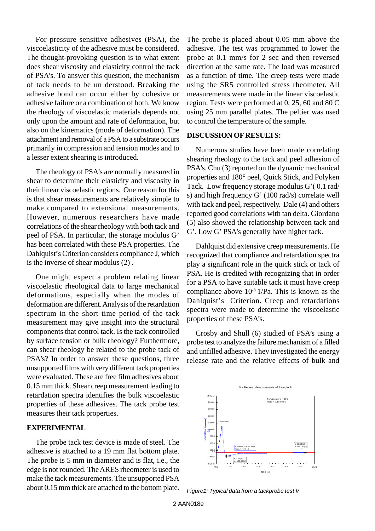For pressure sensitive adhesives (PSA), the viscoelasticity of the adhesive must be considered. The thought-provoking question is to what extent does shear viscosity and elasticity control the tack of PSA's. To answer this question, the mechanism of tack needs to be un derstood. Breaking the adhesive bond can occur either by cohesive or adhesive failure or a combination of both. We know the rheology of viscoelastic materials depends not only upon the amount and rate of deformation, but also on the kinematics (mode of deformation). The attachment and removal of a PSA to a substrate occurs primarily in compression and tension modes and to a lesser extent shearing is introduced.

The rheology of PSA's are normally measured in shear to determine their elasticity and viscosity in their linear viscoelastic regions. One reason for this is that shear measurements are relatively simple to make compared to extensional measurements. However, numerous researchers have made correlations of the shear rheology with both tack and peel of PSA. In particular, the storage modulus G' has been correlated with these PSA properties. The Dahlquist's Criterion considers compliance J, which is the inverse of shear modulus (2) .

One might expect a problem relating linear viscoelastic rheological data to large mechanical deformations, especially when the modes of deformation are different. Analysis of the retardation spectrum in the short time period of the tack measurement may give insight into the structural components that control tack. Is the tack controlled by surface tension or bulk rheology? Furthermore, can shear rheology be related to the probe tack of PSA's? In order to answer these questions, three unsupported films with very different tack properties were evaluated. These are free film adhesives about 0.15 mm thick. Shear creep measurement leading to retardation spectra identifies the bulk viscoelastic properties of these adhesives. The tack probe test measures their tack properties.

#### **EXPERIMENTAL**

The probe tack test device is made of steel. The adhesive is attached to a 19 mm flat bottom plate. The probe is 5 mm in diameter and is flat, i.e., the edge is not rounded. The ARES rheometer is used to make the tack measurements. The unsupported PSA about 0.15 mm thick are attached to the bottom plate.

The probe is placed about 0.05 mm above the adhesive. The test was programmed to lower the probe at 0.1 mm/s for 2 sec and then reversed direction at the same rate. The load was measured as a function of time. The creep tests were made using the SR5 controlled stress rheometer. All measurements were made in the linear viscoelastic region. Tests were performed at 0, 25, 60 and 80°C using 25 mm parallel plates. The peltier was used to control the temperature of the sample.

#### **DISCUSSION OF RESULTS:**

Numerous studies have been made correlating shearing rheology to the tack and peel adhesion of PSA's. Chu (3) reported on the dynamic mechanical properties and 180° peel, Quick Stick, and Polyken Tack. Low frequency storage modulus G'( 0.1 rad/ s) and high frequency G' (100 rad/s) correlate well with tack and peel, respectively. Dale (4) and others reported good correlations with tan delta. Giordano (5) also showed the relationship between tack and G'. Low G' PSA's generally have higher tack.

Dahlquist did extensive creep measurements. He recognized that compliance and retardation spectra play a significant role in the quick stick or tack of PSA. He is credited with recognizing that in order for a PSA to have suitable tack it must have creep compliance above  $10^{-8}$  1/Pa. This is known as the Dahlquist's Criterion. Creep and retardations spectra were made to determine the viscoelastic properties of these PSA's.

Crosby and Shull (6) studied of PSA's using a probe test to analyze the failure mechanism of a filled and unfilled adhesive. They investigated the energy release rate and the relative effects of bulk and



*Figure1: Typical data from a tackprobe test V*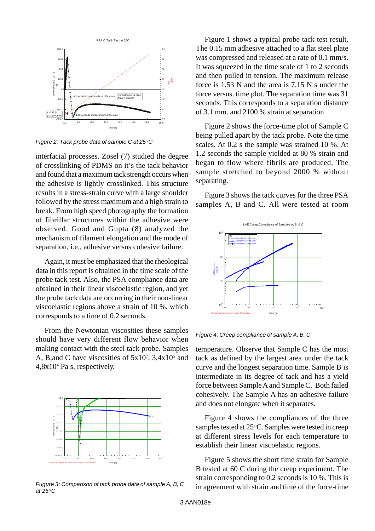

*Figure 2: Tack probe data of sample C at 25<sup>°</sup>C* 

interfacial processes. Zosel (7) studied the degree of crosslinking of PDMS on it's the tack behavior and found that a maximum tack strength occurs when the adhesive is lightly crosslinked. This structure results in a stress-strain curve with a large shoulder followed by the stress maximum and a high strain to break. From high speed photography the formation of fibrillar structures within the adhesive were observed. Good and Gupta (8) analyzed the mechanism of filament elongation and the mode of separation, i.e., adhesive versus cohesive failure.

Again, it must be emphasized that the rheological data in this report is obtained in the time scale of the probe tack test. Also, the PSA compliance data are obtained in their linear viscoelastic region, and yet the probe tack data are occurring in their non-linear viscoelastic regions above a strain of 10 %, which corresponds to a time of 0.2 seconds.

From the Newtonian viscosities these samples should have very different flow behavior when making contact with the steel tack probe. Samples A, B, and C have viscosities of  $5x10^7$ ,  $3,4x10^5$  and 4,8x10<sup>4</sup> Pa s, respectively.



*Fugure 3: Comparison of tack probe data of sample A, B, C at 25 oC*

Figure 1 shows a typical probe tack test result. The 0.15 mm adhesive attached to a flat steel plate was compressed and released at a rate of 0.1 mm/s. It was squeezed in the time scale of 1 to 2 seconds and then pulled in tension. The maximum release force is 1.53 N and the area is 7.15 N s under the force versus. time plot. The separation time was 31 seconds. This corresponds to a separation distance of 3.1 mm. and 2100 % strain at separation

Figure 2 shows the force-time plot of Sample C being pulled apart by the tack probe. Note the time scales. At 0.2 s the sample was strained 10 %. At 1.2 seconds the sample yielded at 80 % strain and began to flow where fibrils are produced. The sample stretched to beyond 2000 % without separating.

Figure 3 shows the tack curves for the three PSA samples A, B and C. All were tested at room



*Figure 4: Creep compliance of sample A, B, C*

temperature. Observe that Sample C has the most tack as defined by the largest area under the tack curve and the longest separation time. Sample B is intermediate in its degree of tack and has a yield force between Sample A and Sample C. Both failed cohesively. The Sample A has an adhesive failure and does not elongate when it separates.

Figure 4 shows the compliances of the three samples tested at 25 °C. Samples were tested in creep at different stress levels for each temperature to establish their linear viscoelastic regions.

Figure 5 shows the short time strain for Sample B tested at 60 C during the creep experiment. The strain corresponding to 0.2 seconds is 10 %. This is in agreement with strain and time of the force-time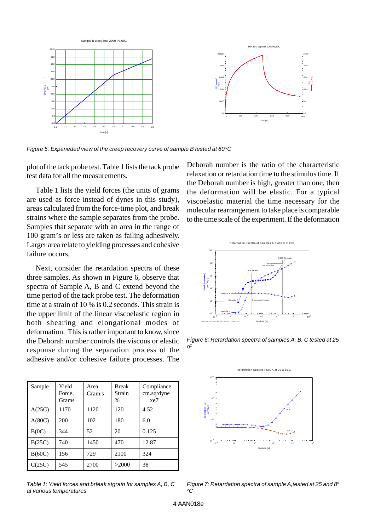

*Figure 5: Expaneded view of the creep recovery curve of sample B tested at 60<sup>°</sup>C* 

plot of the tack probe test. Table 1 lists the tack probe test data for all the measurements.

Table 1 lists the yield forces (the units of grams are used as force instead of dynes in this study), areas calculated from the force-time plot, and break strains where the sample separates from the probe. Samples that separate with an area in the range of 100 gram's or less are taken as failing adhesively. Larger area relate to yielding processes and cohesive failure occurs,

Next, consider the retardation spectra of these three samples. As shown in Figure 6, observe that spectra of Sample A, B and C extend beyond the time period of the tack probe test. The deformation time at a strain of 10 % is 0.2 seconds. This strain is the upper limit of the linear viscoelastic region in both shearing and elongational modes of deformation. This is rather important to know, since the Deborah number controls the viscous or elastic response during the separation process of the adhesive and/or cohesive failure processes. The

| Sample | Yield<br>Force,<br><b>Grams</b> | Area<br>Gram.s | <b>Break</b><br>Strain<br>$\%$ | Compliance<br>cm.sq/dyne<br>xe7 |
|--------|---------------------------------|----------------|--------------------------------|---------------------------------|
| A(25C) | 1170                            | 1120           | 120                            | 4.52                            |
| A(80C) | 200                             | 102            | 180                            | 6.0                             |
| B(0C)  | 344                             | 52             | 20                             | 0.125                           |
| B(25C) | 740                             | 1450           | 470                            | 12.87                           |
| B(60C) | 156                             | 729            | 2100                           | 324                             |
| C(25C) | 545                             | 2700           | >2000                          | 38                              |

*Table 1: Yield forces and brfeak stgrain for samples A, B, C at various temperatures*

Deborah number is the ratio of the characteristic relaxation or retardation time to the stimulus time. If the Deborah number is high, greater than one, then the deformation will be elastic. For a typical viscoelastic material the time necessary for the molecular rearrangement to take place is comparable to the time scale of the experiment. If the deformation



*Figure 6: Retardation spectra of samples A, B, C tested at 25 o C*



*Figure 7: Retardation spectra of sample A,tested at 25 and 8 0 <sup>o</sup>C*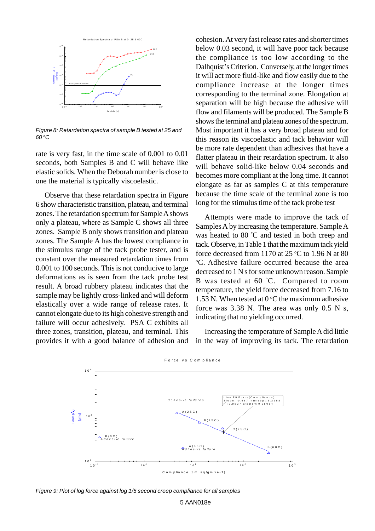

*Figure 8: Retardation spectra of sample B tested at 25 and 60 oC*

rate is very fast, in the time scale of 0.001 to 0.01 seconds, both Samples B and C will behave like elastic solids. When the Deborah number is close to one the material is typically viscoelastic.

Observe that these retardation spectra in Figure 6 show characteristic transition, plateau, and terminal zones. The retardation spectrum for Sample A shows only a plateau, where as Sample C shows all three zones. Sample B only shows transition and plateau zones. The Sample A has the lowest compliance in the stimulus range of the tack probe tester, and is constant over the measured retardation times from 0.001 to 100 seconds. This is not conducive to large deformations as is seen from the tack probe test result. A broad rubbery plateau indicates that the sample may be lightly cross-linked and will deform elastically over a wide range of release rates. It cannot elongate due to its high cohesive strength and failure will occur adhesively. PSA C exhibits all three zones, transition, plateau, and terminal. This provides it with a good balance of adhesion and

cohesion. At very fast release rates and shorter times below 0.03 second, it will have poor tack because the compliance is too low according to the Dalhquist's Criterion. Conversely, at the longer times it will act more fluid-like and flow easily due to the compliance increase at the longer times corresponding to the terminal zone. Elongation at separation will be high because the adhesive will flow and filaments will be produced. The Sample B shows the terminal and plateau zones of the spectrum. Most important it has a very broad plateau and for this reason its viscoelastic and tack behavior will be more rate dependent than adhesives that have a flatter plateau in their retardation spectrum. It also will behave solid-like below 0.04 seconds and becomes more compliant at the long time. It cannot elongate as far as samples C at this temperature because the time scale of the terminal zone is too long for the stimulus time of the tack probe test

Attempts were made to improve the tack of Samples A by increasing the temperature. Sample A was heated to 80 °C and tested in both creep and tack. Observe, in Table 1 that the maximum tack yield force decreased from 1170 at 25  $\degree$ C to 1.96 N at 80. <sup>o</sup>C. Adhesive failure occurred because the area decreased to 1 N s for some unknown reason. Sample B was tested at 60 °C. Compared to room temperature, the yield force decreased from 7.16 to 1.53 N. When tested at  $0^{\circ}$ C the maximum adhesive force was 3.38 N. The area was only 0.5 N s, indicating that no yielding occurred.

Increasing the temperature of Sample A did little in the way of improving its tack. The retardation



*Figure 9: Plot of log force against log 1/5 second creep compliance for all samples*